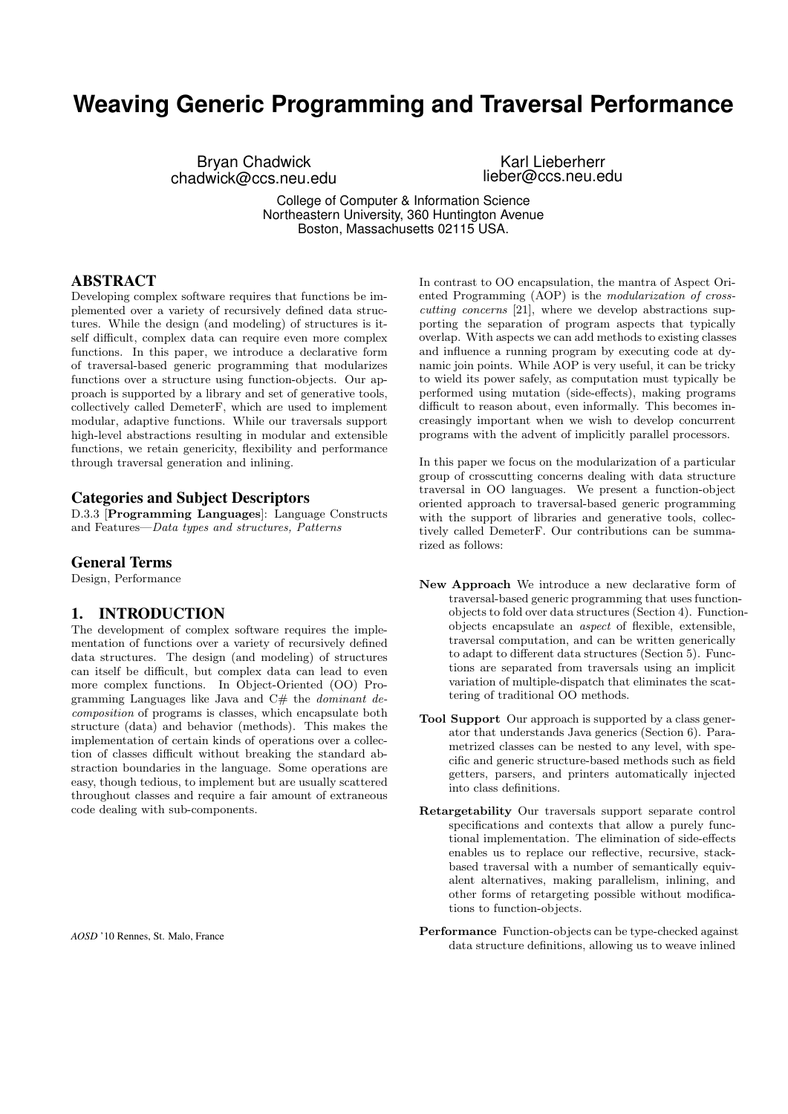# **Weaving Generic Programming and Traversal Performance**

Bryan Chadwick chadwick@ccs.neu.edu

Karl Lieberherr lieber@ccs.neu.edu

College of Computer & Information Science Northeastern University, 360 Huntington Avenue Boston, Massachusetts 02115 USA.

# ABSTRACT

Developing complex software requires that functions be implemented over a variety of recursively defined data structures. While the design (and modeling) of structures is itself difficult, complex data can require even more complex functions. In this paper, we introduce a declarative form of traversal-based generic programming that modularizes functions over a structure using function-objects. Our approach is supported by a library and set of generative tools, collectively called DemeterF, which are used to implement modular, adaptive functions. While our traversals support high-level abstractions resulting in modular and extensible functions, we retain genericity, flexibility and performance through traversal generation and inlining.

### Categories and Subject Descriptors

D.3.3 [Programming Languages]: Language Constructs and Features—Data types and structures, Patterns

### General Terms

Design, Performance

# 1. INTRODUCTION

The development of complex software requires the implementation of functions over a variety of recursively defined data structures. The design (and modeling) of structures can itself be difficult, but complex data can lead to even more complex functions. In Object-Oriented (OO) Programming Languages like Java and  $C#$  the *dominant de*composition of programs is classes, which encapsulate both structure (data) and behavior (methods). This makes the implementation of certain kinds of operations over a collection of classes difficult without breaking the standard abstraction boundaries in the language. Some operations are easy, though tedious, to implement but are usually scattered throughout classes and require a fair amount of extraneous code dealing with sub-components.

*AOSD* '10 Rennes, St. Malo, France

In contrast to OO encapsulation, the mantra of Aspect Oriented Programming (AOP) is the modularization of crosscutting concerns [21], where we develop abstractions supporting the separation of program aspects that typically overlap. With aspects we can add methods to existing classes and influence a running program by executing code at dynamic join points. While AOP is very useful, it can be tricky to wield its power safely, as computation must typically be performed using mutation (side-effects), making programs difficult to reason about, even informally. This becomes increasingly important when we wish to develop concurrent programs with the advent of implicitly parallel processors.

In this paper we focus on the modularization of a particular group of crosscutting concerns dealing with data structure traversal in OO languages. We present a function-object oriented approach to traversal-based generic programming with the support of libraries and generative tools, collectively called DemeterF. Our contributions can be summarized as follows:

- New Approach We introduce a new declarative form of traversal-based generic programming that uses functionobjects to fold over data structures (Section 4). Functionobjects encapsulate an aspect of flexible, extensible, traversal computation, and can be written generically to adapt to different data structures (Section 5). Functions are separated from traversals using an implicit variation of multiple-dispatch that eliminates the scattering of traditional OO methods.
- Tool Support Our approach is supported by a class generator that understands Java generics (Section 6). Parametrized classes can be nested to any level, with specific and generic structure-based methods such as field getters, parsers, and printers automatically injected into class definitions.
- Retargetability Our traversals support separate control specifications and contexts that allow a purely functional implementation. The elimination of side-effects enables us to replace our reflective, recursive, stackbased traversal with a number of semantically equivalent alternatives, making parallelism, inlining, and other forms of retargeting possible without modifications to function-objects.
- Performance Function-objects can be type-checked against data structure definitions, allowing us to weave inlined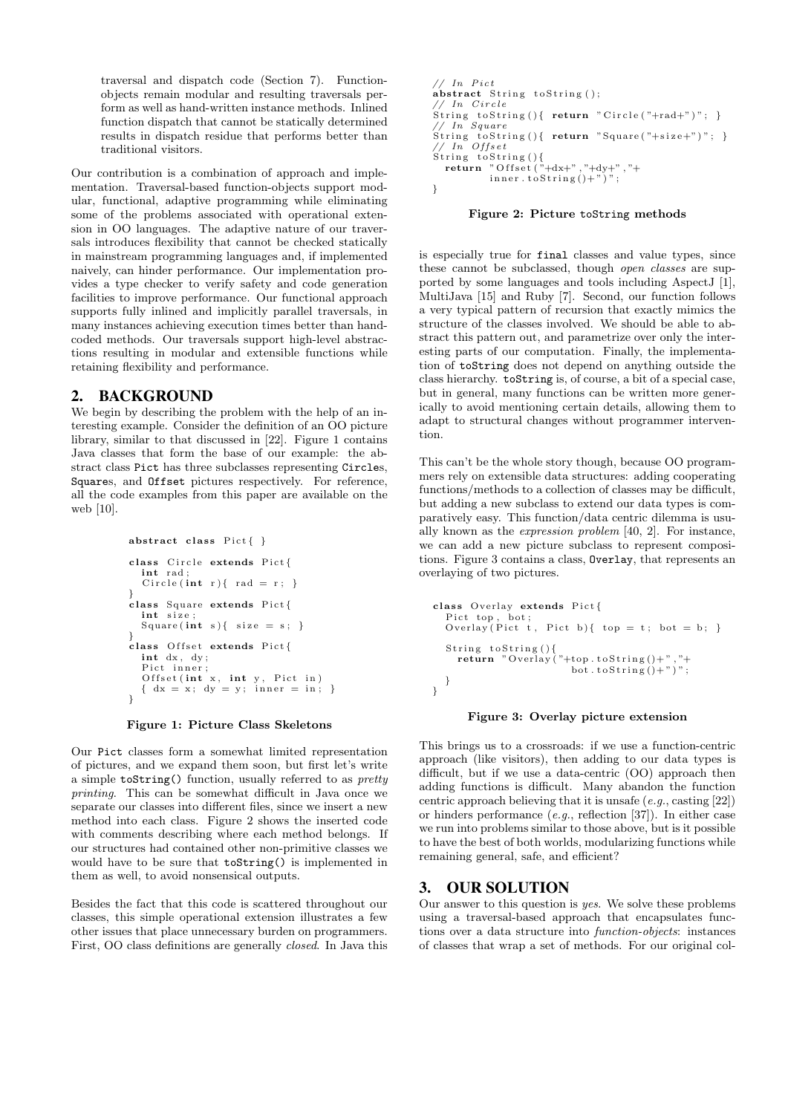traversal and dispatch code (Section 7). Functionobjects remain modular and resulting traversals perform as well as hand-written instance methods. Inlined function dispatch that cannot be statically determined results in dispatch residue that performs better than traditional visitors.

Our contribution is a combination of approach and implementation. Traversal-based function-objects support modular, functional, adaptive programming while eliminating some of the problems associated with operational extension in OO languages. The adaptive nature of our traversals introduces flexibility that cannot be checked statically in mainstream programming languages and, if implemented naively, can hinder performance. Our implementation provides a type checker to verify safety and code generation facilities to improve performance. Our functional approach supports fully inlined and implicitly parallel traversals, in many instances achieving execution times better than handcoded methods. Our traversals support high-level abstractions resulting in modular and extensible functions while retaining flexibility and performance.

# 2. BACKGROUND

We begin by describing the problem with the help of an interesting example. Consider the definition of an OO picture library, similar to that discussed in [22]. Figure 1 contains Java classes that form the base of our example: the abstract class Pict has three subclasses representing Circles, Squares, and Offset pictures respectively. For reference, all the code examples from this paper are available on the web [10].

```
abstract class Pict\{\}class Circle extends Pict{
  int rad:
  Circle(int r) { rad = r; }}
class Square extends Pict{
  int size
  Square (int s){ size = s; }
}<br>class Offset extends Pict{
  int dx, dy;
  Pict inner;
  Offset (int x, int y, Pict in)\{ dx = x; dy = y; inner = in; \}}
```
Figure 1: Picture Class Skeletons

Our Pict classes form a somewhat limited representation of pictures, and we expand them soon, but first let's write a simple toString() function, usually referred to as pretty printing. This can be somewhat difficult in Java once we separate our classes into different files, since we insert a new method into each class. Figure 2 shows the inserted code with comments describing where each method belongs. If our structures had contained other non-primitive classes we would have to be sure that toString() is implemented in them as well, to avoid nonsensical outputs.

Besides the fact that this code is scattered throughout our classes, this simple operational extension illustrates a few other issues that place unnecessary burden on programmers. First, OO class definitions are generally closed. In Java this

```
// In Pic tabstract String to String ();
// In CircleString to String (){ return "Circle("+rad+")"; }
// In Square<br>String toString(){ return "Square("+size+")"; }
// In Offset
String to String () {<br>return "Offset ("+dx+","+dy+","+
           inner . to String () + " )" ;}
```
#### Figure 2: Picture toString methods

is especially true for final classes and value types, since these cannot be subclassed, though open classes are supported by some languages and tools including AspectJ [1], MultiJava [15] and Ruby [7]. Second, our function follows a very typical pattern of recursion that exactly mimics the structure of the classes involved. We should be able to abstract this pattern out, and parametrize over only the interesting parts of our computation. Finally, the implementation of toString does not depend on anything outside the class hierarchy. toString is, of course, a bit of a special case, but in general, many functions can be written more generically to avoid mentioning certain details, allowing them to adapt to structural changes without programmer intervention.

This can't be the whole story though, because OO programmers rely on extensible data structures: adding cooperating functions/methods to a collection of classes may be difficult, but adding a new subclass to extend our data types is comparatively easy. This function/data centric dilemma is usually known as the expression problem [40, 2]. For instance, we can add a new picture subclass to represent compositions. Figure 3 contains a class, Overlay, that represents an overlaying of two pictures.

```
class Overlay extends Pict{<br>Pict top, bot;<br>Overlay(Pict t, Pict b){ top = t; bot = b; }
   String to String () {
      return "Overlay ("+top.tof $r$)"
                                bot . to String () + " ) "}
}
```
#### Figure 3: Overlay picture extension

This brings us to a crossroads: if we use a function-centric approach (like visitors), then adding to our data types is difficult, but if we use a data-centric (OO) approach then adding functions is difficult. Many abandon the function centric approach believing that it is unsafe  $(e.g.,$  casting  $[22])$ or hinders performance (e.g., reflection [37]). In either case we run into problems similar to those above, but is it possible to have the best of both worlds, modularizing functions while remaining general, safe, and efficient?

# 3. OUR SOLUTION

Our answer to this question is yes. We solve these problems using a traversal-based approach that encapsulates functions over a data structure into function-objects: instances of classes that wrap a set of methods. For our original col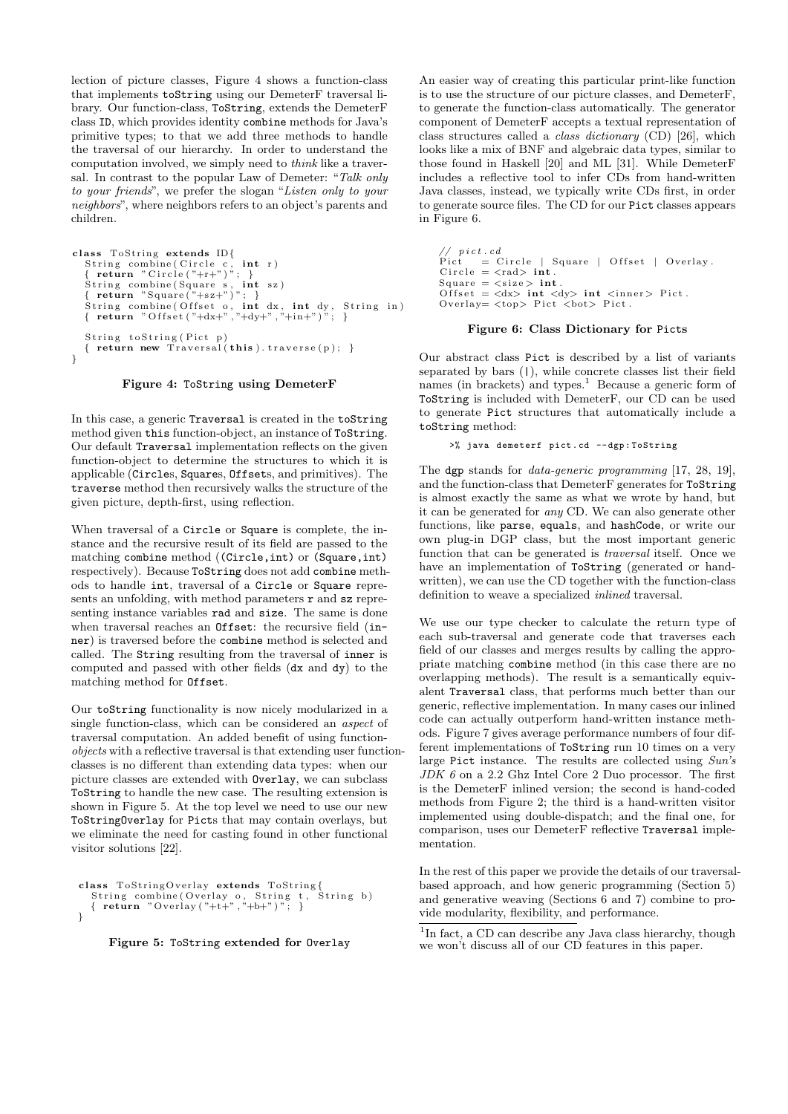lection of picture classes, Figure 4 shows a function-class that implements toString using our DemeterF traversal library. Our function-class, ToString, extends the DemeterF class ID, which provides identity combine methods for Java's primitive types; to that we add three methods to handle the traversal of our hierarchy. In order to understand the computation involved, we simply need to think like a traversal. In contrast to the popular Law of Demeter: "Talk only to your friends", we prefer the slogan "Listen only to your neighbors", where neighbors refers to an object's parents and children.

```
class ToString extends ID\{String combine(Circle c, int r)<br>{ return "Circle("+r+")"; }<br>String combine(Square s, int sz)<br>{ return "Square("+sz+")"; }<br>String combine(Offset o, int dx, int dy, String in)<br>{ return "Offset("+dx+","+dy+","+i
    String to String (Pict p)
    \{ return new Traversal(this). traverse(p);}
```


In this case, a generic Traversal is created in the toString method given this function-object, an instance of ToString. Our default Traversal implementation reflects on the given function-object to determine the structures to which it is applicable (Circles, Squares, Offsets, and primitives). The traverse method then recursively walks the structure of the given picture, depth-first, using reflection.

When traversal of a Circle or Square is complete, the instance and the recursive result of its field are passed to the matching combine method ((Circle,int) or (Square,int) respectively). Because ToString does not add combine methods to handle int, traversal of a Circle or Square represents an unfolding, with method parameters  $\mathbf r$  and  $\mathbf s$ z representing instance variables rad and size. The same is done when traversal reaches an Offset: the recursive field (inner) is traversed before the combine method is selected and called. The String resulting from the traversal of inner is computed and passed with other fields (dx and dy) to the matching method for Offset.

Our toString functionality is now nicely modularized in a single function-class, which can be considered an aspect of traversal computation. An added benefit of using functionobjects with a reflective traversal is that extending user functionclasses is no different than extending data types: when our picture classes are extended with Overlay, we can subclass ToString to handle the new case. The resulting extension is shown in Figure 5. At the top level we need to use our new ToStringOverlay for Picts that may contain overlays, but we eliminate the need for casting found in other functional visitor solutions [22].

```
class ToStringOverlay extends ToString{<br>String combine(Overlay o, String t, String b)<br>{ return "Overlay("+t+","+b+")"; }
}
```
Figure 5: ToString extended for Overlay

An easier way of creating this particular print-like function is to use the structure of our picture classes, and DemeterF, to generate the function-class automatically. The generator component of DemeterF accepts a textual representation of class structures called a class dictionary (CD) [26], which looks like a mix of BNF and algebraic data types, similar to those found in Haskell [20] and ML [31]. While DemeterF includes a reflective tool to infer CDs from hand-written Java classes, instead, we typically write CDs first, in order to generate source files. The CD for our Pict classes appears in Figure 6.

// pict.cd<br>Pict = Circle | Square | Offset | Overlay.<br>Circle = <rad> int. Square =  $\langle$ size > int. Offset =  $\langle dx \rangle$  int  $\langle dy \rangle$  int  $\langle$ inner $\rangle$  Pict.  $\text{Overlay} = \text{stop} > \text{ Pict } <\text{bot} > \text{ Pict }.$ 

#### Figure 6: Class Dictionary for Picts

Our abstract class Pict is described by a list of variants separated by bars (|), while concrete classes list their field names (in brackets) and types.<sup>1</sup> Because a generic form of ToString is included with DemeterF, our CD can be used to generate Pict structures that automatically include a toString method:

```
>% java demeterf pict . cd -- dgp : ToString
```
The dgp stands for data-generic programming [17, 28, 19], and the function-class that DemeterF generates for ToString is almost exactly the same as what we wrote by hand, but it can be generated for any CD. We can also generate other functions, like parse, equals, and hashCode, or write our own plug-in DGP class, but the most important generic function that can be generated is traversal itself. Once we have an implementation of ToString (generated or handwritten), we can use the CD together with the function-class definition to weave a specialized inlined traversal.

We use our type checker to calculate the return type of each sub-traversal and generate code that traverses each field of our classes and merges results by calling the appropriate matching combine method (in this case there are no overlapping methods). The result is a semantically equivalent Traversal class, that performs much better than our generic, reflective implementation. In many cases our inlined code can actually outperform hand-written instance methods. Figure 7 gives average performance numbers of four different implementations of ToString run 10 times on a very large Pict instance. The results are collected using Sun's JDK 6 on a 2.2 Ghz Intel Core 2 Duo processor. The first is the DemeterF inlined version; the second is hand-coded methods from Figure 2; the third is a hand-written visitor implemented using double-dispatch; and the final one, for comparison, uses our DemeterF reflective Traversal implementation.

In the rest of this paper we provide the details of our traversalbased approach, and how generic programming (Section 5) and generative weaving (Sections 6 and 7) combine to provide modularity, flexibility, and performance.

<sup>1</sup>In fact, a CD can describe any Java class hierarchy, though we won't discuss all of our CD features in this paper.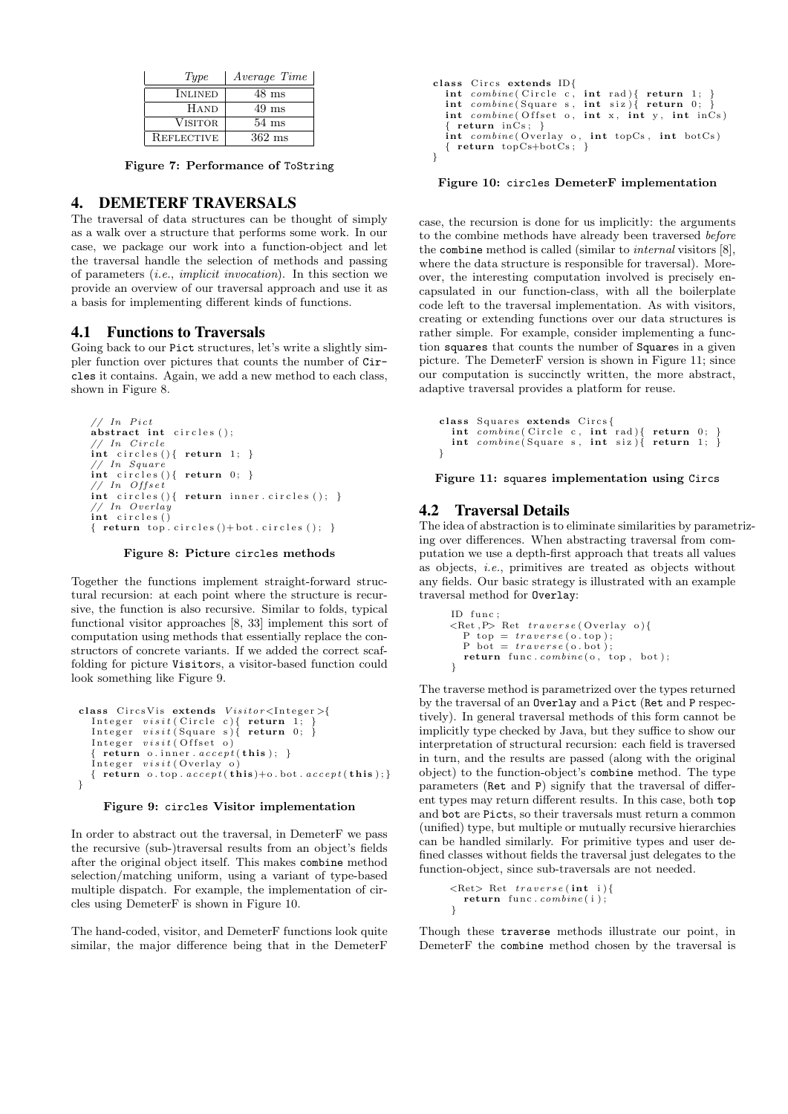| Type              | Average Time     |
|-------------------|------------------|
| <b>INLINED</b>    | $48$ ms          |
| Hand              | $49 \text{ ms}$  |
| <b>VISITOR</b>    | $54 \text{ ms}$  |
| <b>REFLECTIVE</b> | $362 \text{ ms}$ |

Figure 7: Performance of ToString

### 4. DEMETERF TRAVERSALS

The traversal of data structures can be thought of simply as a walk over a structure that performs some work. In our case, we package our work into a function-object and let the traversal handle the selection of methods and passing of parameters (i.e., implicit invocation). In this section we provide an overview of our traversal approach and use it as a basis for implementing different kinds of functions.

### 4.1 Functions to Traversals

Going back to our Pict structures, let's write a slightly simpler function over pictures that counts the number of Circles it contains. Again, we add a new method to each class, shown in Figure 8.

```
// In Pict{\bf abstract\ int\} circles ();
// In Circleint circles () { return 1; }
   // In Square
int circles () { return 0; }
// In Offset
int circles (){ return inner. circles (); }<br>
// In Overlay
// In Overlay<br>int circles()
{ return top. circles ()+bot. circles (); }
```
Figure 8: Picture circles methods

Together the functions implement straight-forward structural recursion: at each point where the structure is recursive, the function is also recursive. Similar to folds, typical functional visitor approaches [8, 33] implement this sort of computation using methods that essentially replace the constructors of concrete variants. If we added the correct scaffolding for picture Visitors, a visitor-based function could look something like Figure 9.

```
class CircsVis extends Visitor {<}Integer>{
    Integer visit( \, \textrm{Circle} \, \, c) \{ \, \, \textrm{return} \, \, 1; \, \} \,Integer visit( \, \textrm{Square} \, \, s) \{ \, \, \textrm{return} \, \, 0; \, \, \}Integer visit( Offset o)
      return o. inner. accept(this );}
    line{Integer \; visit(Overlay \; o)}{ return o.\text{top}.accept(\text{this})+o.\text{bot}.accept(\text{this});}}
```
#### Figure 9: circles Visitor implementation

In order to abstract out the traversal, in DemeterF we pass the recursive (sub-)traversal results from an object's fields after the original object itself. This makes combine method selection/matching uniform, using a variant of type-based multiple dispatch. For example, the implementation of circles using DemeterF is shown in Figure 10.

The hand-coded, visitor, and DemeterF functions look quite similar, the major difference being that in the DemeterF

```
class Circs extends ID\{int combine ( Circle c, int rad ) { return 1; }<br>int combine ( Square s, int siz ) { return 0; }
   int combine( Offset o, int x, int y, int inCs)
     r return in \dot{C}s; }
   \textbf{int} combine (Overlay o, \textbf{int} topCs, \textbf{int} botCs)
   { return topCs+botCs ; }
}
```
Figure 10: circles DemeterF implementation

case, the recursion is done for us implicitly: the arguments to the combine methods have already been traversed before the combine method is called (similar to internal visitors [8], where the data structure is responsible for traversal). Moreover, the interesting computation involved is precisely encapsulated in our function-class, with all the boilerplate code left to the traversal implementation. As with visitors, creating or extending functions over our data structures is rather simple. For example, consider implementing a function squares that counts the number of Squares in a given picture. The DemeterF version is shown in Figure 11; since our computation is succinctly written, the more abstract, adaptive traversal provides a platform for reuse.

```
class Squares extends Circs{
   int combine ( Circle c, int rad ) { return 0; }<br>int combine ( Square s, int siz ) { return 1; }
}
```
Figure 11: squares implementation using Circs

### 4.2 Traversal Details

The idea of abstraction is to eliminate similarities by parametrizing over differences. When abstracting traversal from computation we use a depth-first approach that treats all values as objects, i.e., primitives are treated as objects without any fields. Our basic strategy is illustrated with an example traversal method for Overlay:

```
ID func;
\leq Ret , P> Ret traverse ( Overlay o ) {
 P_{top} = \text{traverse(}o.\text{top)}.P bot = traverse (o. bot);
  return func.combine(o, top, bot);
}
```
The traverse method is parametrized over the types returned by the traversal of an Overlay and a Pict (Ret and P respectively). In general traversal methods of this form cannot be implicitly type checked by Java, but they suffice to show our interpretation of structural recursion: each field is traversed in turn, and the results are passed (along with the original object) to the function-object's combine method. The type parameters (Ret and P) signify that the traversal of different types may return different results. In this case, both top and bot are Picts, so their traversals must return a common (unified) type, but multiple or mutually recursive hierarchies can be handled similarly. For primitive types and user defined classes without fields the traversal just delegates to the function-object, since sub-traversals are not needed.

```
\langle \text{Ret} \rangle Ret traverse(\text{int } i)return func.combine(i);
}
```
Though these traverse methods illustrate our point, in DemeterF the combine method chosen by the traversal is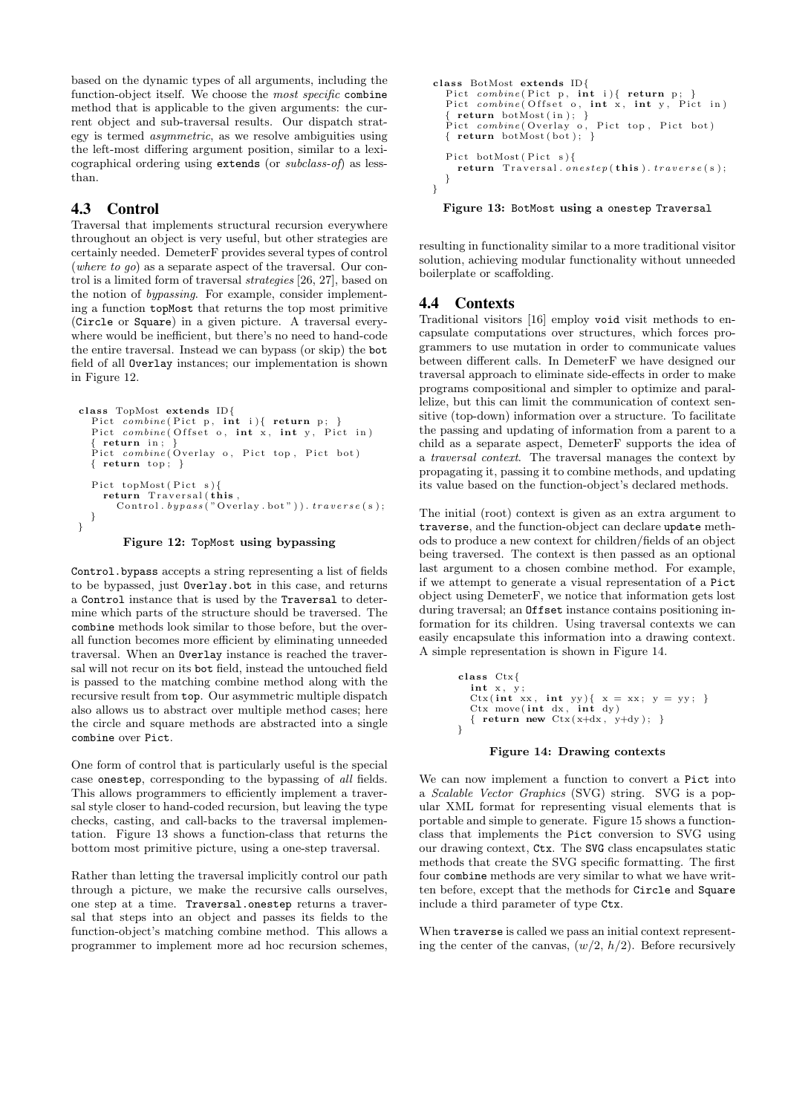based on the dynamic types of all arguments, including the function-object itself. We choose the most specific combine method that is applicable to the given arguments: the current object and sub-traversal results. Our dispatch strategy is termed asymmetric, as we resolve ambiguities using the left-most differing argument position, similar to a lexicographical ordering using extends (or subclass-of) as lessthan.

# 4.3 Control

Traversal that implements structural recursion everywhere throughout an object is very useful, but other strategies are certainly needed. DemeterF provides several types of control (where to go) as a separate aspect of the traversal. Our control is a limited form of traversal strategies [26, 27], based on the notion of bypassing. For example, consider implementing a function topMost that returns the top most primitive (Circle or Square) in a given picture. A traversal everywhere would be inefficient, but there's no need to hand-code the entire traversal. Instead we can bypass (or skip) the bot field of all Overlay instances; our implementation is shown in Figure 12.

```
class TopMost extends ID{
  Pict combine(Pict p, int i){ return p; }
  Pict combine(Offset_0, int x, int y, Piet in)\{ return in : \}Pict combine( Overlay o, Pict top, Pict bot)
  \{ return top; \}Pict topMost (Pict s){
    return Traversal (this
      Control. bypass("Overlay.bot")). traverse(s);
  }
}
```


Control.bypass accepts a string representing a list of fields to be bypassed, just Overlay.bot in this case, and returns a Control instance that is used by the Traversal to determine which parts of the structure should be traversed. The combine methods look similar to those before, but the overall function becomes more efficient by eliminating unneeded traversal. When an Overlay instance is reached the traversal will not recur on its bot field, instead the untouched field is passed to the matching combine method along with the recursive result from top. Our asymmetric multiple dispatch also allows us to abstract over multiple method cases; here the circle and square methods are abstracted into a single combine over Pict.

One form of control that is particularly useful is the special case onestep, corresponding to the bypassing of all fields. This allows programmers to efficiently implement a traversal style closer to hand-coded recursion, but leaving the type checks, casting, and call-backs to the traversal implementation. Figure 13 shows a function-class that returns the bottom most primitive picture, using a one-step traversal.

Rather than letting the traversal implicitly control our path through a picture, we make the recursive calls ourselves, one step at a time. Traversal.onestep returns a traversal that steps into an object and passes its fields to the function-object's matching combine method. This allows a programmer to implement more ad hoc recursion schemes,

```
class BotMost extends ID{
  Pict combine(Pict p, int i) return p;
  Pict combine(Offset o, int x, int y, Piet in)<br>{ return botMost(in); }
   Pict combine ( Overlay o, Pict top, Pict bot)
   \{ return botMost(bot); \}Pict botMost(Pict s){<br>
return Traversal.onestep(this).traverse(s);
  }
}
```
Figure 13: BotMost using a onestep Traversal

resulting in functionality similar to a more traditional visitor solution, achieving modular functionality without unneeded boilerplate or scaffolding.

# 4.4 Contexts

Traditional visitors [16] employ void visit methods to encapsulate computations over structures, which forces programmers to use mutation in order to communicate values between different calls. In DemeterF we have designed our traversal approach to eliminate side-effects in order to make programs compositional and simpler to optimize and parallelize, but this can limit the communication of context sensitive (top-down) information over a structure. To facilitate the passing and updating of information from a parent to a child as a separate aspect, DemeterF supports the idea of a traversal context. The traversal manages the context by propagating it, passing it to combine methods, and updating its value based on the function-object's declared methods.

The initial (root) context is given as an extra argument to traverse, and the function-object can declare update methods to produce a new context for children/fields of an object being traversed. The context is then passed as an optional last argument to a chosen combine method. For example, if we attempt to generate a visual representation of a Pict object using DemeterF, we notice that information gets lost during traversal; an Offset instance contains positioning information for its children. Using traversal contexts we can easily encapsulate this information into a drawing context. A simple representation is shown in Figure 14.

```
class Ctx{
  int x, y;
   Ctx (int xx, int yy){ x = xx; y = yy; }<br>Ctx move(int dx, int dy)
   { return new Ctx(x+dx, y+dy);}
}
```
### Figure 14: Drawing contexts

We can now implement a function to convert a Pict into a Scalable Vector Graphics (SVG) string. SVG is a popular XML format for representing visual elements that is portable and simple to generate. Figure 15 shows a functionclass that implements the Pict conversion to SVG using our drawing context, Ctx. The SVG class encapsulates static methods that create the SVG specific formatting. The first four combine methods are very similar to what we have written before, except that the methods for Circle and Square include a third parameter of type Ctx.

When traverse is called we pass an initial context representing the center of the canvas,  $(w/2, h/2)$ . Before recursively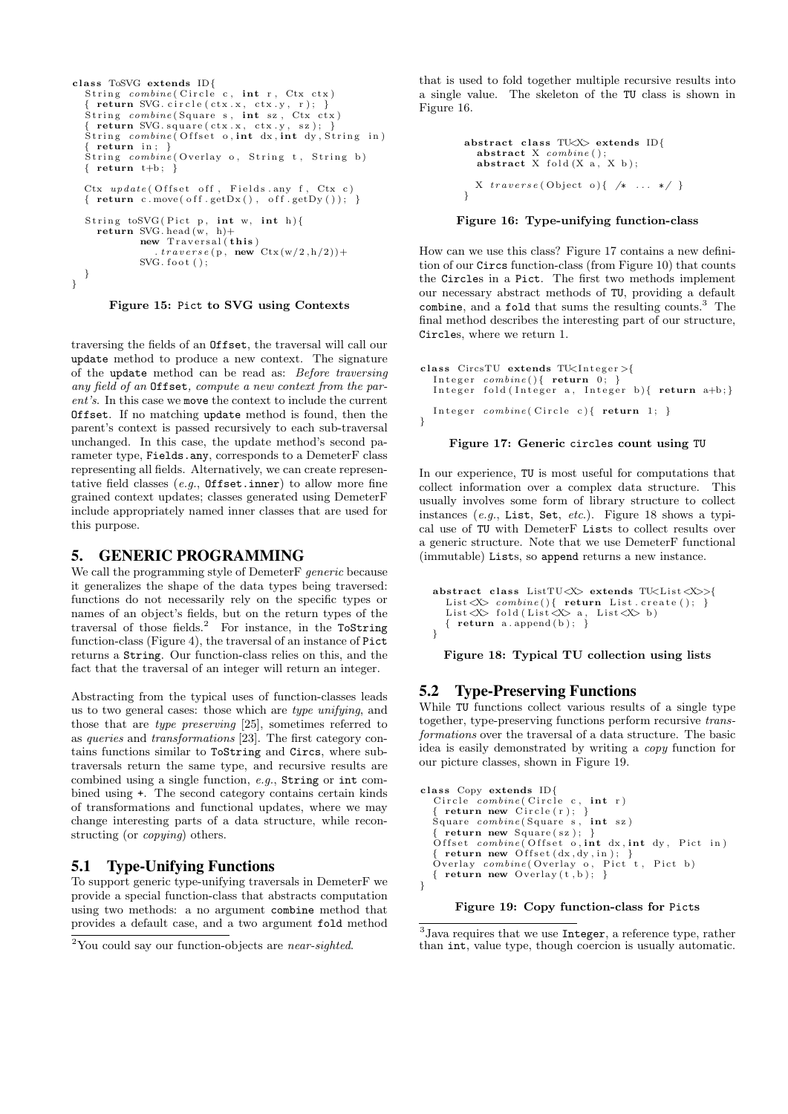```
class ToSVG extends ID\{String combine( Circle c, int r, Ctx ctx)
  \{ return SVG. circle (ctx.x, ctx.y, r); }
   \text{String} combine (Square s, int sz, \text{Ctx} ctx)
   { return SVG square (ctx .x, ctx .y, sz); }<br>String combine (Offset o, int dx, int dy, String in)
  \{ return in; \}String \textit{combine} (Overlay o, String t, String b)
  \{ return t+b; \}Ctx update(Offset off, Fields. any f, Ctx c)\{ return c move( off .getDx(), off .getDy(); \}String to SVG ( Pict p, int w, int h) {
     return SVG head (w, h)+
              new Traversal (this)
                   \text{trace}(\mathbf{p}, \mathbf{n}\mathbf{e}\mathbf{w}^{\prime} \mathbf{C}\mathbf{tx}(\mathbf{w}/2, \mathbf{h}/2)) +SVG. foot ( );}
}
```
Figure 15: Pict to SVG using Contexts

traversing the fields of an Offset, the traversal will call our update method to produce a new context. The signature of the update method can be read as: Before traversing any field of an Offset, compute a new context from the parent's. In this case we move the context to include the current Offset. If no matching update method is found, then the parent's context is passed recursively to each sub-traversal unchanged. In this case, the update method's second parameter type, Fields.any, corresponds to a DemeterF class representing all fields. Alternatively, we can create representative field classes (e.g., Offset.inner) to allow more fine grained context updates; classes generated using DemeterF include appropriately named inner classes that are used for this purpose.

# 5. GENERIC PROGRAMMING

We call the programming style of DemeterF generic because it generalizes the shape of the data types being traversed: functions do not necessarily rely on the specific types or names of an object's fields, but on the return types of the traversal of those fields.<sup>2</sup> For instance, in the ToString function-class (Figure 4), the traversal of an instance of Pict returns a String. Our function-class relies on this, and the fact that the traversal of an integer will return an integer.

Abstracting from the typical uses of function-classes leads us to two general cases: those which are type unifying, and those that are type preserving [25], sometimes referred to as queries and transformations [23]. The first category contains functions similar to ToString and Circs, where subtraversals return the same type, and recursive results are combined using a single function, e.g., String or int combined using +. The second category contains certain kinds of transformations and functional updates, where we may change interesting parts of a data structure, while reconstructing (or *copying*) others.

# 5.1 Type-Unifying Functions

To support generic type-unifying traversals in DemeterF we provide a special function-class that abstracts computation using two methods: a no argument combine method that provides a default case, and a two argument fold method

that is used to fold together multiple recursive results into a single value. The skeleton of the TU class is shown in Figure 16.

```
abstract class TUX> extends ID\{{\tt abstract\ X}\>\>\>combine(\tt); \label{substack} \atop {\tt abstract\ X}\>\>\>followed{if(\tt X\ a,\ X\ b);\ }X \; \text{traverse} \; (\text{Object} \; \; o) \{ \; \; \text{/*} \; \; \ldots \; \; * \text{/} \; \}}
```
### Figure 16: Type-unifying function-class

How can we use this class? Figure 17 contains a new definition of our Circs function-class (from Figure 10) that counts the Circles in a Pict. The first two methods implement our necessary abstract methods of TU, providing a default combine, and a fold that sums the resulting counts.<sup>3</sup> The final method describes the interesting part of our structure, Circles, where we return 1.

```
class CircsTU extends TU\times Integer >{
   Integer combine(){ return 0; }<br>Integer fold(Integer a, Integer b){ return a+b;}
  Integer \; combine( Circle \; c){\; return \;} 1; \;}}
```
#### Figure 17: Generic circles count using TU

In our experience, TU is most useful for computations that collect information over a complex data structure. This usually involves some form of library structure to collect instances (e.g., List, Set, etc.). Figure 18 shows a typical use of TU with DemeterF Lists to collect results over a generic structure. Note that we use DemeterF functional (immutable) Lists, so append returns a new instance.

```
abstract class ListTU<X> extends TU<List<X>>{
   List <X> combine(){ return List.create(); }<br>List <X> fold(List <X> a, List <X> b)
   { return a \nrightarrow a append (b); }
}
```
Figure 18: Typical TU collection using lists

# 5.2 Type-Preserving Functions

While TU functions collect various results of a single type together, type-preserving functions perform recursive transformations over the traversal of a data structure. The basic idea is easily demonstrated by writing a copy function for our picture classes, shown in Figure 19.

```
class Copy extends ID{Circle\ combine(Circie\ c\, int\ r)\{ return new Circle(r);Square combine (Square s, int sz) { return new Square (sz); }
  Offset combine(Offset o, int dx, int dy, Pict in){ return new Offset (dx, dy, in); }<br>Overlay combine (Overlay o, Pict t, Pict b)
  \{ return new Overlay(t, b); \}}
```
### Figure 19: Copy function-class for Picts

<sup>&</sup>lt;sup>2</sup>You could say our function-objects are *near-sighted*.

<sup>&</sup>lt;sup>3</sup> Java requires that we use Integer, a reference type, rather than int, value type, though coercion is usually automatic.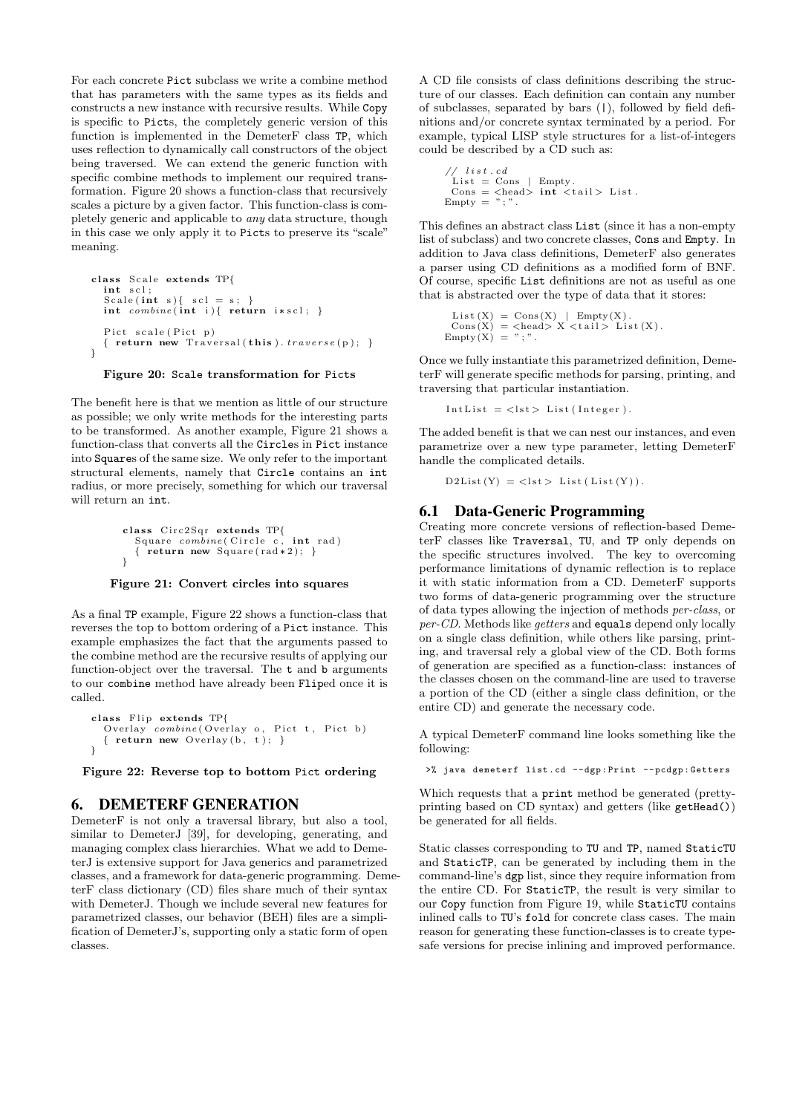For each concrete Pict subclass we write a combine method that has parameters with the same types as its fields and constructs a new instance with recursive results. While Copy is specific to Picts, the completely generic version of this function is implemented in the DemeterF class TP, which uses reflection to dynamically call constructors of the object being traversed. We can extend the generic function with specific combine methods to implement our required transformation. Figure 20 shows a function-class that recursively scales a picture by a given factor. This function-class is completely generic and applicable to any data structure, though in this case we only apply it to Picts to preserve its "scale" meaning.

```
class Scale extends TP{
   int scl :
   Scale(int s){ \text{ scl} = \text{s}; }
   \text{int } \text{ combine}(\text{int } i) \{ \text{ return } i * \text{ scl } ; \}Pict scale (Pict p)
   { return new Traversal (this ). traverse(p);}
}
```
Figure 20: Scale transformation for Picts

The benefit here is that we mention as little of our structure as possible; we only write methods for the interesting parts to be transformed. As another example, Figure 21 shows a function-class that converts all the Circles in Pict instance into Squares of the same size. We only refer to the important structural elements, namely that Circle contains an int radius, or more precisely, something for which our traversal will return an int.

```
class Circ2Sqr extends TP{
  Square combine( Circle c, int rad)
  { return new Square (\text{rad} * 2); }
}
```
#### Figure 21: Convert circles into squares

As a final TP example, Figure 22 shows a function-class that reverses the top to bottom ordering of a Pict instance. This example emphasizes the fact that the arguments passed to the combine method are the recursive results of applying our function-object over the traversal. The t and b arguments to our combine method have already been Fliped once it is called.

```
class Flip extends TP{
  \overrightarrow{O}verlay combine ( \overrightarrow{O}verlay o, Pict t, Pict b)
  \{ return new Overlay(b, t); \}}
```
Figure 22: Reverse top to bottom Pict ordering

# 6. DEMETERF GENERATION

DemeterF is not only a traversal library, but also a tool, similar to DemeterJ [39], for developing, generating, and managing complex class hierarchies. What we add to DemeterJ is extensive support for Java generics and parametrized classes, and a framework for data-generic programming. DemeterF class dictionary (CD) files share much of their syntax with DemeterJ. Though we include several new features for parametrized classes, our behavior (BEH) files are a simplification of DemeterJ's, supporting only a static form of open classes.

A CD file consists of class definitions describing the structure of our classes. Each definition can contain any number of subclasses, separated by bars (|), followed by field definitions and/or concrete syntax terminated by a period. For example, typical LISP style structures for a list-of-integers could be described by a CD such as:

$$
\begin{array}{ll}\n// list cd & \text{C.} \\
List t & \text{Cons } | & \text{Empty.} \\
 \text{Cons } | & \text{Ches} \rangle \text{ int } < tail > List. \\
 \text{Empty} = ",".\n\end{array}
$$

This defines an abstract class List (since it has a non-empty list of subclass) and two concrete classes, Cons and Empty. In addition to Java class definitions, DemeterF also generates a parser using CD definitions as a modified form of BNF. Of course, specific List definitions are not as useful as one that is abstracted over the type of data that it stores:

List (X) = Cons (X) | Empty (X).  
Cons (X) = 
$$
\langle
$$
head> X  $\langle$ tail> List (X).  
Empty (X) = ",".

Once we fully instantiate this parametrized definition, DemeterF will generate specific methods for parsing, printing, and traversing that particular instantiation.

```
IntList = < lst > List (Integer).
```
The added benefit is that we can nest our instances, and even parametrize over a new type parameter, letting DemeterF handle the complicated details.

 $\texttt{D2List}\left(\texttt{Y}\right) \ = \ <\texttt{lst} > \ \texttt{List}\left(\ \texttt{List}\left(\texttt{Y}\right)\right).$ 

### 6.1 Data-Generic Programming

Creating more concrete versions of reflection-based DemeterF classes like Traversal, TU, and TP only depends on the specific structures involved. The key to overcoming performance limitations of dynamic reflection is to replace it with static information from a CD. DemeterF supports two forms of data-generic programming over the structure of data types allowing the injection of methods per-class, or per-CD. Methods like getters and equals depend only locally on a single class definition, while others like parsing, printing, and traversal rely a global view of the CD. Both forms of generation are specified as a function-class: instances of the classes chosen on the command-line are used to traverse a portion of the CD (either a single class definition, or the entire CD) and generate the necessary code.

A typical DemeterF command line looks something like the following:

>% java demeterf list . cd -- dgp : Print -- pcdgp : Getters

Which requests that a print method be generated (prettyprinting based on CD syntax) and getters (like  $getHead()$ ) be generated for all fields.

Static classes corresponding to TU and TP, named StaticTU and StaticTP, can be generated by including them in the command-line's dgp list, since they require information from the entire CD. For StaticTP, the result is very similar to our Copy function from Figure 19, while StaticTU contains inlined calls to TU's fold for concrete class cases. The main reason for generating these function-classes is to create typesafe versions for precise inlining and improved performance.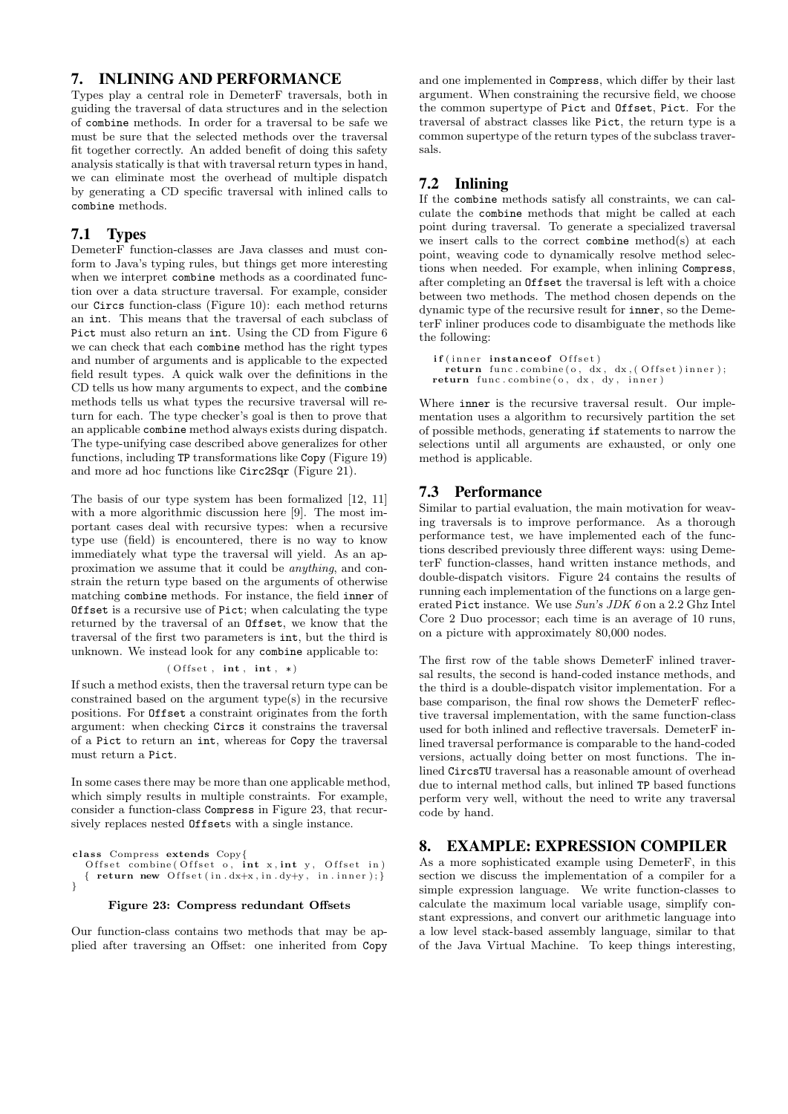# 7. INLINING AND PERFORMANCE

Types play a central role in DemeterF traversals, both in guiding the traversal of data structures and in the selection of combine methods. In order for a traversal to be safe we must be sure that the selected methods over the traversal fit together correctly. An added benefit of doing this safety analysis statically is that with traversal return types in hand, we can eliminate most the overhead of multiple dispatch by generating a CD specific traversal with inlined calls to combine methods.

# 7.1 Types

DemeterF function-classes are Java classes and must conform to Java's typing rules, but things get more interesting when we interpret combine methods as a coordinated function over a data structure traversal. For example, consider our Circs function-class (Figure 10): each method returns an int. This means that the traversal of each subclass of Pict must also return an int. Using the CD from Figure 6 we can check that each combine method has the right types and number of arguments and is applicable to the expected field result types. A quick walk over the definitions in the CD tells us how many arguments to expect, and the combine methods tells us what types the recursive traversal will return for each. The type checker's goal is then to prove that an applicable combine method always exists during dispatch. The type-unifying case described above generalizes for other functions, including TP transformations like Copy (Figure 19) and more ad hoc functions like Circ2Sqr (Figure 21).

The basis of our type system has been formalized [12, 11] with a more algorithmic discussion here [9]. The most important cases deal with recursive types: when a recursive type use (field) is encountered, there is no way to know immediately what type the traversal will yield. As an approximation we assume that it could be anything, and constrain the return type based on the arguments of otherwise matching combine methods. For instance, the field inner of Offset is a recursive use of Pict; when calculating the type returned by the traversal of an Offset, we know that the traversal of the first two parameters is int, but the third is unknown. We instead look for any combine applicable to:

#### $($  Offset,  $int, int, * )$

If such a method exists, then the traversal return type can be constrained based on the argument type(s) in the recursive positions. For Offset a constraint originates from the forth argument: when checking Circs it constrains the traversal of a Pict to return an int, whereas for Copy the traversal must return a Pict.

In some cases there may be more than one applicable method, which simply results in multiple constraints. For example, consider a function-class Compress in Figure 23, that recursively replaces nested Offsets with a single instance.

class Compress extends Copy{<br>Offset combine(Offset o, int x, int y, Offset in) { return new Offset (in  $dx+x$ , in  $dy+y$ , in . inner); } }

#### Figure 23: Compress redundant Offsets

Our function-class contains two methods that may be applied after traversing an Offset: one inherited from Copy

and one implemented in Compress, which differ by their last argument. When constraining the recursive field, we choose the common supertype of Pict and Offset, Pict. For the traversal of abstract classes like Pict, the return type is a common supertype of the return types of the subclass traversals.

# 7.2 Inlining

If the combine methods satisfy all constraints, we can calculate the combine methods that might be called at each point during traversal. To generate a specialized traversal we insert calls to the correct combine method(s) at each point, weaving code to dynamically resolve method selections when needed. For example, when inlining Compress, after completing an Offset the traversal is left with a choice between two methods. The method chosen depends on the dynamic type of the recursive result for inner, so the DemeterF inliner produces code to disambiguate the methods like the following:

```
if (inner instanceof Offset)
 return func.combine (o, dx, dx, (Offset)inner);return func.combine(o, dx, dy, inner)
```
Where inner is the recursive traversal result. Our implementation uses a algorithm to recursively partition the set of possible methods, generating if statements to narrow the selections until all arguments are exhausted, or only one method is applicable.

### 7.3 Performance

Similar to partial evaluation, the main motivation for weaving traversals is to improve performance. As a thorough performance test, we have implemented each of the functions described previously three different ways: using DemeterF function-classes, hand written instance methods, and double-dispatch visitors. Figure 24 contains the results of running each implementation of the functions on a large generated Pict instance. We use Sun's JDK 6 on a 2.2 Ghz Intel Core 2 Duo processor; each time is an average of 10 runs, on a picture with approximately 80,000 nodes.

The first row of the table shows DemeterF inlined traversal results, the second is hand-coded instance methods, and the third is a double-dispatch visitor implementation. For a base comparison, the final row shows the DemeterF reflective traversal implementation, with the same function-class used for both inlined and reflective traversals. DemeterF inlined traversal performance is comparable to the hand-coded versions, actually doing better on most functions. The inlined CircsTU traversal has a reasonable amount of overhead due to internal method calls, but inlined TP based functions perform very well, without the need to write any traversal code by hand.

# 8. EXAMPLE: EXPRESSION COMPILER

As a more sophisticated example using DemeterF, in this section we discuss the implementation of a compiler for a simple expression language. We write function-classes to calculate the maximum local variable usage, simplify constant expressions, and convert our arithmetic language into a low level stack-based assembly language, similar to that of the Java Virtual Machine. To keep things interesting,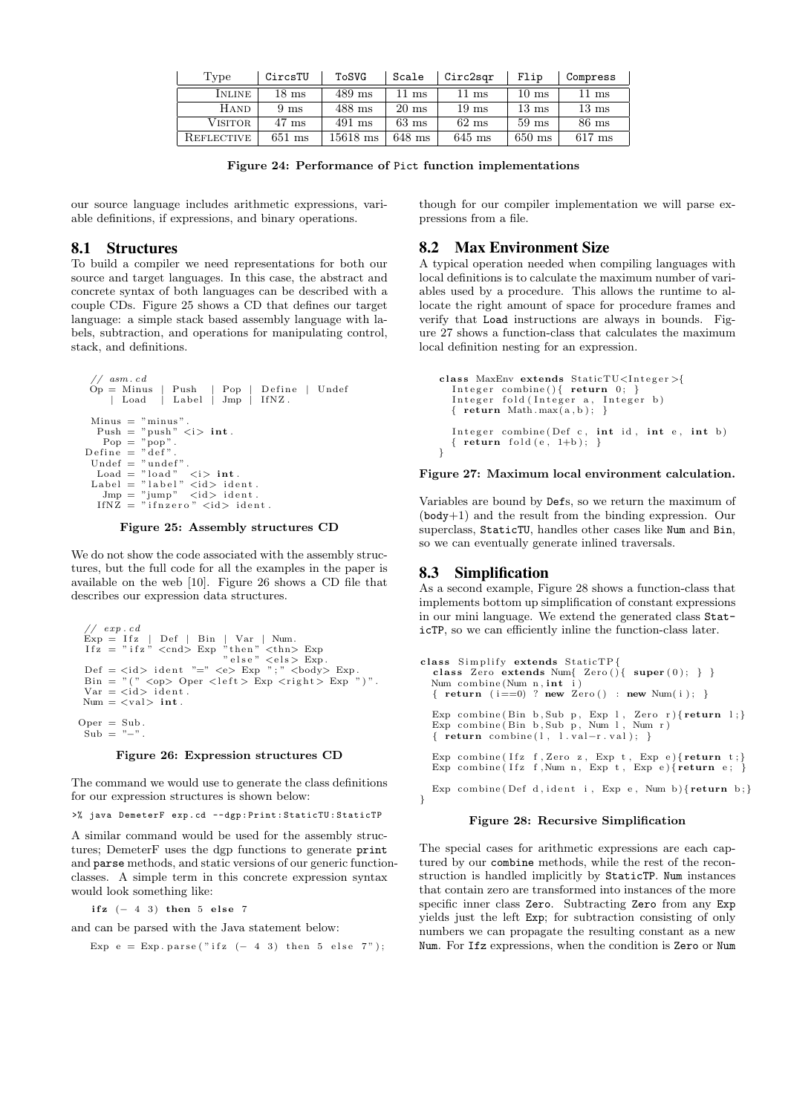| Type           | CircsTU          | ToSVG      | Scale            | Circ2sgr         | Flip            | Compress         |
|----------------|------------------|------------|------------------|------------------|-----------------|------------------|
| INLINE         | $18~\mathrm{ms}$ | $489$ ms   | $11~\mathrm{ms}$ | $11~\mathrm{ms}$ | $10 \text{ ms}$ | $11~\mathrm{ms}$ |
| <b>HAND</b>    | 9 <sub>ms</sub>  | 488 ms     | $20 \text{ ms}$  | $19 \text{ ms}$  | $13 \text{ ms}$ | $13 \text{ ms}$  |
| <b>VISITOR</b> | $47 \text{ ms}$  | $491$ ms   | $63 \text{ ms}$  | $62 \text{ ms}$  | $59 \text{ ms}$ | $86$ ms          |
| REFLECTIVE     | $651$ ms         | $15618$ ms | $648$ ms         | $645$ ms         | $650$ ms        | $617$ ms         |

Figure 24: Performance of Pict function implementations

our source language includes arithmetic expressions, variable definitions, if expressions, and binary operations.

### 8.1 Structures

To build a compiler we need representations for both our source and target languages. In this case, the abstract and concrete syntax of both languages can be described with a couple CDs. Figure 25 shows a CD that defines our target language: a simple stack based assembly language with labels, subtraction, and operations for manipulating control, stack, and definitions.

```
// asm. cd<br>Op = Minus
                               Push | Pop | Define | Undef<br>Label | Jmp | IfNZ.
        | Load
  Minus = "minus".<br>Push = "push" <i> \mathbf{int}.
     Pop = "pop".
Define = "def"Undef = \text{"under"}.<br>
Load = \text{"load"}Load = "load" <i> int.<br>Label = "label" <id> ident.<br>Jmp = "jump" <id> ident.<br>IfNZ = "ifnzero" <id> ident.
```
Figure 25: Assembly structures CD

We do not show the code associated with the assembly structures, but the full code for all the examples in the paper is available on the web [10]. Figure 26 shows a CD file that describes our expression data structures.

```
// \; exp.cd\begin{array}{ll} \mbox{Exp = Ifz} & \mbox{Def} & \mbox{Bin} & \mbox{Var} & \mbox{Num.} \\ \mbox{Ifz = "ifz" <math display="inline">\mbox{ }^{\sim} \mbox{ }^{\sim} \mbox{ }^{\sim} \mbox{ }^{\sim} \mbox{ }^{\sim} \mbox{ }^{\sim} \mbox{ }^{\sim} \mbox{ }^{\sim} \mbox{ }^{\sim} \mbox{ }^{\sim} \mbox{ }^{\sim} \mbox{ }^{\sim} \mbox{ }^{\sim} \mbox{ }^{\sim} \mbox{ }^{\sim} \mbox{ }^{\sim} \mbox{ }^{\sim} \mbox{ }Num = <val int.
```
 $Oper = Sub.$  $Sub = "-"$ 

#### Figure 26: Expression structures CD

The command we would use to generate the class definitions for our expression structures is shown below:

```
>% java DemeterF exp . cd -- dgp : Print : StaticTU : StaticTP
```
A similar command would be used for the assembly structures; DemeterF uses the dgp functions to generate print and parse methods, and static versions of our generic functionclasses. A simple term in this concrete expression syntax would look something like:

ifz  $(-4 \ 3)$  then 5 else 7

and can be parsed with the Java statement below:

```
Exp e = Exp. parse ("if z (- 4 3) then 5 else 7");
```
though for our compiler implementation we will parse expressions from a file.

### 8.2 Max Environment Size

A typical operation needed when compiling languages with local definitions is to calculate the maximum number of variables used by a procedure. This allows the runtime to allocate the right amount of space for procedure frames and verify that Load instructions are always in bounds. Figure 27 shows a function-class that calculates the maximum local definition nesting for an expression.

```
class MaxEnv extends StaticTU<Integer>{
  Integer combine () { return 0; }
  Integer fold (Integer a, Integer b)
  \{ return Math.max(a, b); }
  Integer combine (Def c, int id, int e, int b)
 \{ return fold (e, 1+b);
```
#### Figure 27: Maximum local environment calculation.

Variables are bound by Defs, so we return the maximum of (body+1) and the result from the binding expression. Our superclass, StaticTU, handles other cases like Num and Bin, so we can eventually generate inlined traversals.

### 8.3 Simplification

}

As a second example, Figure 28 shows a function-class that implements bottom up simplification of constant expressions in our mini language. We extend the generated class StaticTP, so we can efficiently inline the function-class later.

```
class Simplify extends StaticTP{
  class Zero extends Num{ Zero(){ super(0); } }
  Num combine (Num n, int \t i){ return (i == 0) ? new Zero () : new Num(i); }
  Exp combine (Bin b, Sub p, Exp 1, Zero r) { return 1; }<br>Exp combine (Bin b, Sub p, Num 1, Num r)
  { return combine (1, 1. val-r. val); }
  Exp combine ( Ifz f, Zero z, Exp t, Exp e) { return t;}
  Exp combine (Ifz f, Num n, Exp t, Exp e) \{ return e; \}Exp combine (Def d, ident i, Exp e, Num b) {return b; }
}
```
#### Figure 28: Recursive Simplification

The special cases for arithmetic expressions are each captured by our combine methods, while the rest of the reconstruction is handled implicitly by StaticTP. Num instances that contain zero are transformed into instances of the more specific inner class Zero. Subtracting Zero from any Exp yields just the left Exp; for subtraction consisting of only numbers we can propagate the resulting constant as a new Num. For Ifz expressions, when the condition is Zero or Num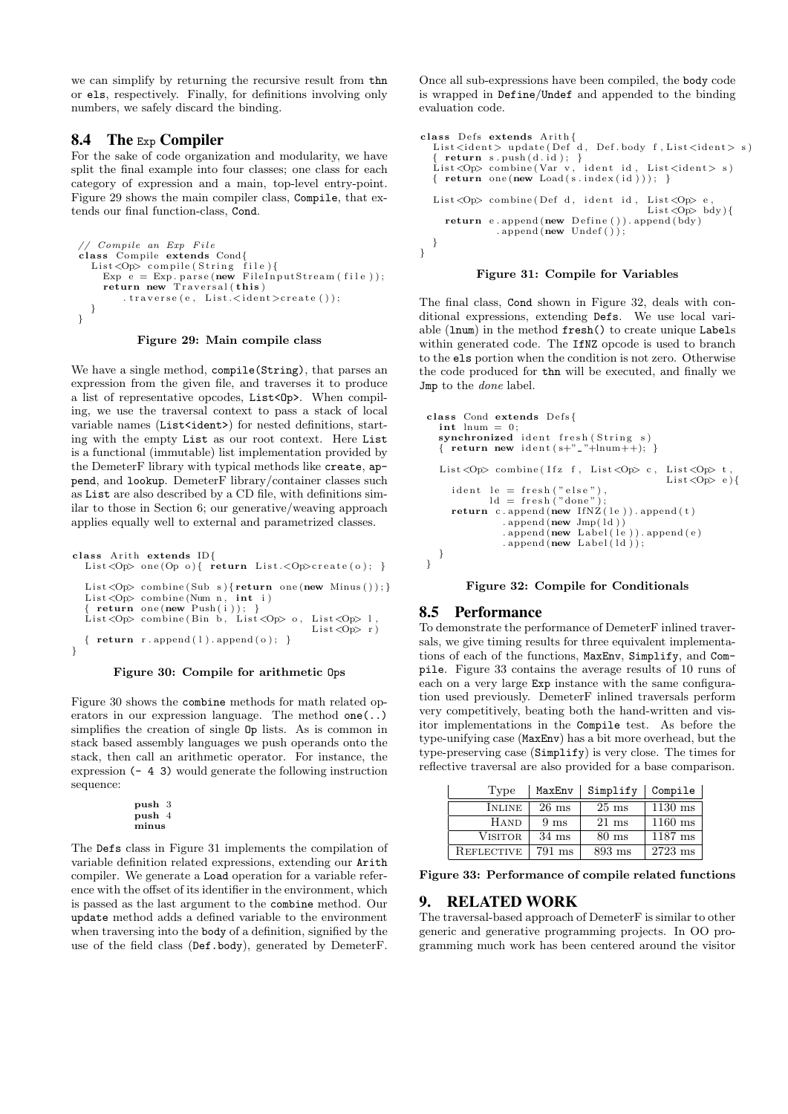we can simplify by returning the recursive result from thn or els, respectively. Finally, for definitions involving only numbers, we safely discard the binding.

### 8.4 The Exp Compiler

For the sake of code organization and modularity, we have split the final example into four classes; one class for each category of expression and a main, top-level entry-point. Figure 29 shows the main compiler class, Compile, that extends our final function-class, Cond.

```
// Compile an Exp File
class Compile extends Cond{<br>List<Op> compile(String file){
       Exp e = Exp.parse(new FileInputStream(file));<br>return new Traversal(this)
            . traverse (e, \text{ List.} \leq \text{ident} \geq \text{create}());}
}
```
#### Figure 29: Main compile class

We have a single method, compile(String), that parses an expression from the given file, and traverses it to produce a list of representative opcodes, List<Op>. When compiling, we use the traversal context to pass a stack of local variable names (List<ident>) for nested definitions, starting with the empty List as our root context. Here List is a functional (immutable) list implementation provided by the DemeterF library with typical methods like create, append, and lookup. DemeterF library/container classes such as List are also described by a CD file, with definitions similar to those in Section 6; our generative/weaving approach applies equally well to external and parametrized classes.

```
class Arith extends ID{
  List <Op> one (Op o){ return List .< Op>create (o); }
  List < Op > combine ( Sub s ) { return one (new Minus ( ) ) ; }
  List <Op> combine (Num n, int i)
    {\bf return} one (new Push ( i ) );
  List < Op> combine (Bin b, List < Op > 0, List < Op > 1,
                                              List <sup>op</sup>r)
  { return r.append(1).append(o);}
}
```
#### Figure 30: Compile for arithmetic Ops

Figure 30 shows the combine methods for math related operators in our expression language. The method one(..) simplifies the creation of single Op lists. As is common in stack based assembly languages we push operands onto the stack, then call an arithmetic operator. For instance, the expression (- 4 3) would generate the following instruction sequence:

> push 3 push 4 minus

The Defs class in Figure 31 implements the compilation of variable definition related expressions, extending our Arith compiler. We generate a Load operation for a variable reference with the offset of its identifier in the environment, which is passed as the last argument to the combine method. Our update method adds a defined variable to the environment when traversing into the body of a definition, signified by the use of the field class (Def.body), generated by DemeterF.

Once all sub-expressions have been compiled, the body code is wrapped in Define/Undef and appended to the binding evaluation code.

```
class Defs extends Arith{<br>List<ident> update(Def d, Def.body f,List<ident> s)
    return s. push(d.id);List <Op> combine (Var v, ident id, List <ident> s) { return one (new Load (s.index (id ))); }
  List<Op> combine (Def d, ident id, List<Op> e
                                                  List <sub>Op</sub> > bdy {
     return e.append(new Define()) . append (bdy)\text{append}(\text{new Under}());}
```
}

### Figure 31: Compile for Variables

The final class, Cond shown in Figure 32, deals with conditional expressions, extending Defs. We use local variable (lnum) in the method fresh() to create unique Labels within generated code. The IfNZ opcode is used to branch to the els portion when the condition is not zero. Otherwise the code produced for thn will be executed, and finally we Jmp to the *done* label.

```
class Cond extends Defs{
  \textbf{int} lnum = 0;
  synchronized ident fresh (String s)
  { return new ident (s+"-"+lnum++); }
  List < Op > combine ( If z f , List < Op > c, List < Op > t,
                                                List \langleOp> e){
     ident le = fresh ("else"),<br>ld = fresh ("done");
     return c.append (new IfNZ(le)).append (t). append (new Jmp(i d))
               . append (new Label (ie)). append (e). append (new Label(\mathrm{Id});
  }
}
```
# Figure 32: Compile for Conditionals

# 8.5 Performance

To demonstrate the performance of DemeterF inlined traversals, we give timing results for three equivalent implementations of each of the functions, MaxEnv, Simplify, and Compile. Figure 33 contains the average results of 10 runs of each on a very large Exp instance with the same configuration used previously. DemeterF inlined traversals perform very competitively, beating both the hand-written and visitor implementations in the Compile test. As before the type-unifying case (MaxEnv) has a bit more overhead, but the type-preserving case (Simplify) is very close. The times for reflective traversal are also provided for a base comparison.

| Type           | MaxEnv          | Simplify        | Compile   |
|----------------|-----------------|-----------------|-----------|
| <b>INLINE</b>  | $26$ ms         | $25 \text{ ms}$ | $1130$ ms |
| <b>HAND</b>    | 9 <sub>ms</sub> | $21 \text{ ms}$ | $1160$ ms |
| <b>VISITOR</b> | $34 \text{ ms}$ | $80 \text{ ms}$ | 1187 ms   |
| REFLECTIVE     | $791$ ms        | $893$ ms        | 2723 ms   |

Figure 33: Performance of compile related functions

# 9. RELATED WORK

The traversal-based approach of DemeterF is similar to other generic and generative programming projects. In OO programming much work has been centered around the visitor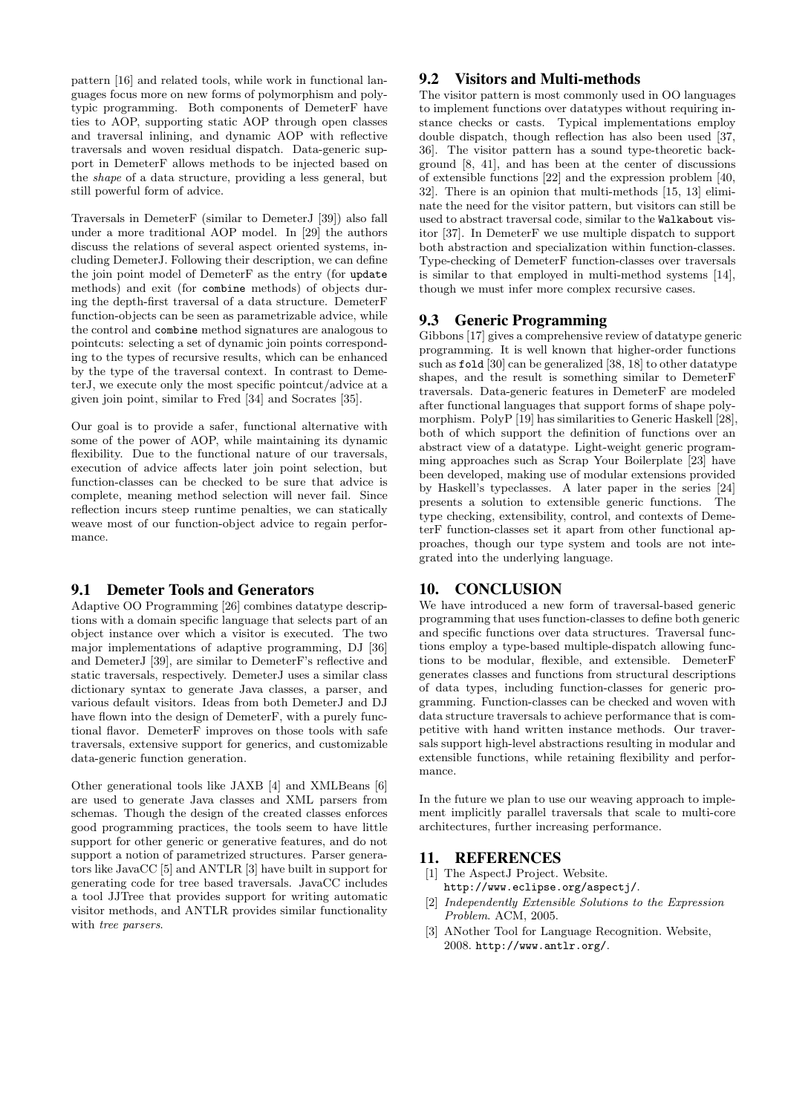pattern [16] and related tools, while work in functional languages focus more on new forms of polymorphism and polytypic programming. Both components of DemeterF have ties to AOP, supporting static AOP through open classes and traversal inlining, and dynamic AOP with reflective traversals and woven residual dispatch. Data-generic support in DemeterF allows methods to be injected based on the shape of a data structure, providing a less general, but still powerful form of advice.

Traversals in DemeterF (similar to DemeterJ [39]) also fall under a more traditional AOP model. In [29] the authors discuss the relations of several aspect oriented systems, including DemeterJ. Following their description, we can define the join point model of DemeterF as the entry (for update methods) and exit (for combine methods) of objects during the depth-first traversal of a data structure. DemeterF function-objects can be seen as parametrizable advice, while the control and combine method signatures are analogous to pointcuts: selecting a set of dynamic join points corresponding to the types of recursive results, which can be enhanced by the type of the traversal context. In contrast to DemeterJ, we execute only the most specific pointcut/advice at a given join point, similar to Fred [34] and Socrates [35].

Our goal is to provide a safer, functional alternative with some of the power of AOP, while maintaining its dynamic flexibility. Due to the functional nature of our traversals, execution of advice affects later join point selection, but function-classes can be checked to be sure that advice is complete, meaning method selection will never fail. Since reflection incurs steep runtime penalties, we can statically weave most of our function-object advice to regain performance.

# 9.1 Demeter Tools and Generators

Adaptive OO Programming [26] combines datatype descriptions with a domain specific language that selects part of an object instance over which a visitor is executed. The two major implementations of adaptive programming, DJ [36] and DemeterJ [39], are similar to DemeterF's reflective and static traversals, respectively. DemeterJ uses a similar class dictionary syntax to generate Java classes, a parser, and various default visitors. Ideas from both DemeterJ and DJ have flown into the design of DemeterF, with a purely functional flavor. DemeterF improves on those tools with safe traversals, extensive support for generics, and customizable data-generic function generation.

Other generational tools like JAXB [4] and XMLBeans [6] are used to generate Java classes and XML parsers from schemas. Though the design of the created classes enforces good programming practices, the tools seem to have little support for other generic or generative features, and do not support a notion of parametrized structures. Parser generators like JavaCC [5] and ANTLR [3] have built in support for generating code for tree based traversals. JavaCC includes a tool JJTree that provides support for writing automatic visitor methods, and ANTLR provides similar functionality with tree parsers.

# 9.2 Visitors and Multi-methods

The visitor pattern is most commonly used in OO languages to implement functions over datatypes without requiring instance checks or casts. Typical implementations employ double dispatch, though reflection has also been used [37, 36]. The visitor pattern has a sound type-theoretic background [8, 41], and has been at the center of discussions of extensible functions [22] and the expression problem [40, 32]. There is an opinion that multi-methods [15, 13] eliminate the need for the visitor pattern, but visitors can still be used to abstract traversal code, similar to the Walkabout visitor [37]. In DemeterF we use multiple dispatch to support both abstraction and specialization within function-classes. Type-checking of DemeterF function-classes over traversals is similar to that employed in multi-method systems [14], though we must infer more complex recursive cases.

# 9.3 Generic Programming

Gibbons [17] gives a comprehensive review of datatype generic programming. It is well known that higher-order functions such as fold [30] can be generalized [38, 18] to other datatype shapes, and the result is something similar to DemeterF traversals. Data-generic features in DemeterF are modeled after functional languages that support forms of shape polymorphism. PolyP [19] has similarities to Generic Haskell [28], both of which support the definition of functions over an abstract view of a datatype. Light-weight generic programming approaches such as Scrap Your Boilerplate [23] have been developed, making use of modular extensions provided by Haskell's typeclasses. A later paper in the series [24] presents a solution to extensible generic functions. The type checking, extensibility, control, and contexts of DemeterF function-classes set it apart from other functional approaches, though our type system and tools are not integrated into the underlying language.

# 10. CONCLUSION

We have introduced a new form of traversal-based generic programming that uses function-classes to define both generic and specific functions over data structures. Traversal functions employ a type-based multiple-dispatch allowing functions to be modular, flexible, and extensible. DemeterF generates classes and functions from structural descriptions of data types, including function-classes for generic programming. Function-classes can be checked and woven with data structure traversals to achieve performance that is competitive with hand written instance methods. Our traversals support high-level abstractions resulting in modular and extensible functions, while retaining flexibility and performance.

In the future we plan to use our weaving approach to implement implicitly parallel traversals that scale to multi-core architectures, further increasing performance.

# 11. REFERENCES

- [1] The AspectJ Project. Website. http://www.eclipse.org/aspectj/.
- [2] Independently Extensible Solutions to the Expression Problem. ACM, 2005.
- [3] ANother Tool for Language Recognition. Website, 2008. http://www.antlr.org/.